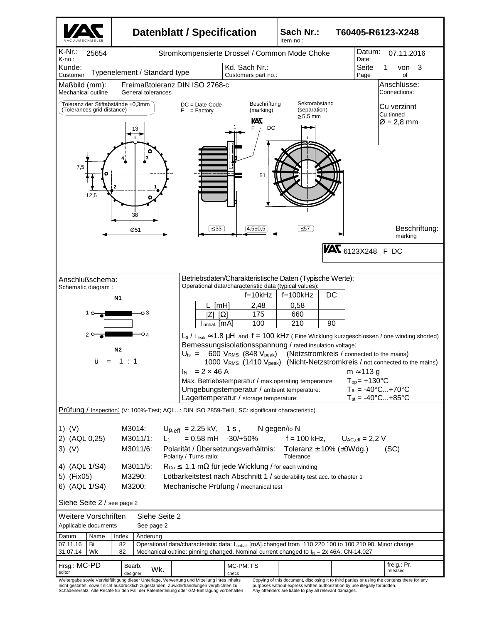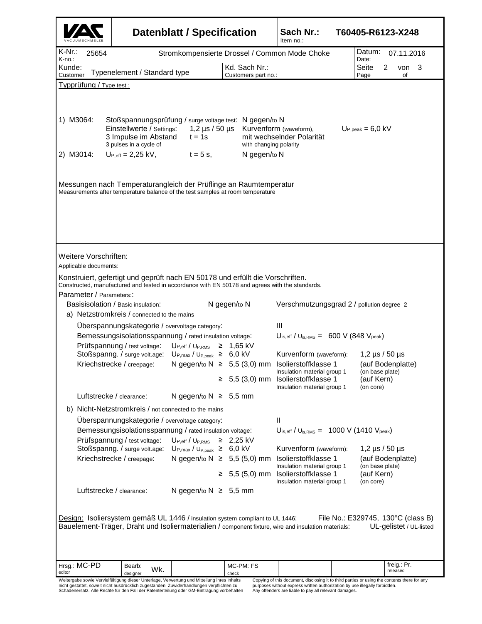|                                                                            |                                                                                                  |                                                   | Datenblatt / Specification                                                                                                                                                                                                               |    |                                                                                 | Sach Nr.:<br>Item no.:                                                                              | T60405-R6123-X248                                             |
|----------------------------------------------------------------------------|--------------------------------------------------------------------------------------------------|---------------------------------------------------|------------------------------------------------------------------------------------------------------------------------------------------------------------------------------------------------------------------------------------------|----|---------------------------------------------------------------------------------|-----------------------------------------------------------------------------------------------------|---------------------------------------------------------------|
| K-Nr.:<br>K-no∴                                                            | 25654                                                                                            |                                                   |                                                                                                                                                                                                                                          |    | Stromkompensierte Drossel / Common Mode Choke                                   |                                                                                                     | Datum:<br>07.11.2016<br>Date:                                 |
| Kunde:<br>Typenelement / Standard type<br>Customer                         |                                                                                                  |                                                   |                                                                                                                                                                                                                                          |    | Kd. Sach Nr.:                                                                   |                                                                                                     | Seite<br>3<br>2<br>von                                        |
| Typprüfung / Type test :                                                   |                                                                                                  |                                                   |                                                                                                                                                                                                                                          |    | Customers part no.:                                                             |                                                                                                     | Page<br>of                                                    |
| 1) M3064:<br>2) M3014:                                                     | 3 pulses in a cycle of<br>$U_{P,eff} = 2,25$ kV,                                                 | Einstellwerte / Settings:<br>3 Impulse im Abstand | Stoßspannungsprüfung / surge voltage test: N gegen/to N<br>$t = 1s$<br>$t = 5$ s,<br>Messungen nach Temperaturangleich der Prüflinge an Raumtemperatur<br>Measurements after temperature balance of the test samples at room temperature |    | 1,2 µs / 50 µs Kurvenform (waveform),<br>with changing polarity<br>N gegen/to N | mit wechselnder Polarität                                                                           | $Up_{\text{.peak}} = 6.0 \text{ kV}$                          |
| Weitere Vorschriften:<br>Applicable documents:<br>Parameter / Parameters:: |                                                                                                  |                                                   | Konstruiert, gefertigt und geprüft nach EN 50178 und erfüllt die Vorschriften.                                                                                                                                                           |    |                                                                                 | Constructed, manufactured and tested in accordance with EN 50178 and agrees with the standards.     |                                                               |
|                                                                            | N gegen/to N<br>Basisisolation / Basic insulation:<br>a) Netzstromkreis / connected to the mains |                                                   |                                                                                                                                                                                                                                          |    |                                                                                 | Verschmutzungsgrad 2 / pollution degree 2                                                           |                                                               |
|                                                                            |                                                                                                  |                                                   | Uberspannungskategorie / overvoltage category:                                                                                                                                                                                           |    |                                                                                 | Ш                                                                                                   |                                                               |
|                                                                            |                                                                                                  |                                                   | Bemessungsisolationsspannung / rated insulation voltage:<br>$Up_{eff}/U_{P,RMS} \geq 1,65$ kV                                                                                                                                            |    |                                                                                 | $U_{\text{is,eff}}$ / $U_{\text{is,RMS}} = 600 \text{ V}$ (848 $V_{\text{peak}}$ )                  |                                                               |
|                                                                            | Prüfspannung / test voltage:                                                                     | Stoßspanng. / surge volt.age:                     | $U_{P,max} / U_{P,peak} \ge 6.0$ kV                                                                                                                                                                                                      |    |                                                                                 | Kurvenform (waveform):                                                                              | 1,2 $\mu$ s / 50 $\mu$ s                                      |
|                                                                            |                                                                                                  | Kriechstrecke / creepage:                         |                                                                                                                                                                                                                                          |    |                                                                                 | N gegen/to $N \geq 5,5$ (3,0) mm Isolierstoffklasse 1<br>Insulation material group 1                | (auf Bodenplatte)                                             |
|                                                                            |                                                                                                  |                                                   |                                                                                                                                                                                                                                          | ≥. |                                                                                 |                                                                                                     |                                                               |
|                                                                            |                                                                                                  |                                                   |                                                                                                                                                                                                                                          |    |                                                                                 | 5,5 (3,0) mm Isolierstoffklasse 1                                                                   | (on base plate)<br>(auf Kern)                                 |
|                                                                            | Luftstrecke / clearance:                                                                         |                                                   | N gegen/to $N \geq 5,5$ mm                                                                                                                                                                                                               |    |                                                                                 | Insulation material group 1                                                                         | (on core)                                                     |
| b)                                                                         |                                                                                                  |                                                   | Nicht-Netzstromkreis / not connected to the mains                                                                                                                                                                                        |    |                                                                                 |                                                                                                     |                                                               |
|                                                                            |                                                                                                  |                                                   | Überspannungskategorie / overvoltage category:                                                                                                                                                                                           |    |                                                                                 | Ш                                                                                                   |                                                               |
|                                                                            |                                                                                                  |                                                   | Bemessungsisolationsspannung / rated insulation voltage:                                                                                                                                                                                 |    |                                                                                 | $U_{\text{is,eff}}$ / $U_{\text{is,RMS}} = 1000 \text{ V}$ (1410 $V_{\text{peak}}$ )                |                                                               |
|                                                                            | Prüfspannung / test voltage:                                                                     |                                                   | $Up_{eff}/U_{P,RMS} \geq 2,25$ kV<br>Stoßspanng. / surge volt.age: U <sub>P,max</sub> / U <sub>P,peak</sub> ≥ 6,0 kV                                                                                                                     |    |                                                                                 | Kurvenform (waveform):                                                                              | 1,2 $\mu$ s / 50 $\mu$ s                                      |
|                                                                            | Kriechstrecke / creepage:                                                                        |                                                   |                                                                                                                                                                                                                                          |    |                                                                                 | N gegen/to $N \geq 5,5$ (5,0) mm Isolierstoffklasse 1<br>Insulation material group 1                | (auf Bodenplatte)<br>(on base plate)                          |
|                                                                            |                                                                                                  |                                                   |                                                                                                                                                                                                                                          |    |                                                                                 | $\geq$ 5,5 (5,0) mm Isolierstoffklasse 1<br>Insulation material group 1                             | (auf Kern)<br>(on core)                                       |
|                                                                            | Luftstrecke / clearance:                                                                         |                                                   | N gegen/to $N \geq 5,5$ mm                                                                                                                                                                                                               |    |                                                                                 |                                                                                                     |                                                               |
|                                                                            |                                                                                                  |                                                   | Design: Isoliersystem gemäß UL 1446 / insulation system compliant to UL 1446:                                                                                                                                                            |    |                                                                                 | Bauelement-Träger, Draht und Isoliermaterialien / component fixture, wire and insulation materials: | File No.: E329745, 130°C (class B)<br>UL-gelistet / UL-listed |
| Hrsg.: MC-PD                                                               | Bearb:                                                                                           | Wk.                                               |                                                                                                                                                                                                                                          |    | MC-PM: FS                                                                       |                                                                                                     | freig.: Pr.<br>released                                       |